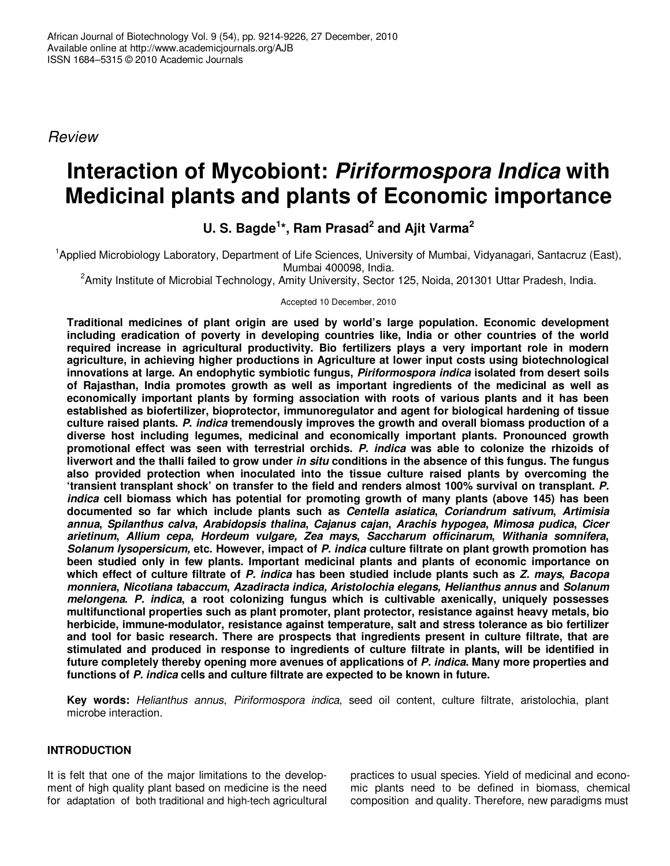*Review*

# **Interaction of Mycobiont:** *Piriformospora Indica* **with Medicinal plants and plants of Economic importance**

**U. S. Bagde 1 \*, Ram Prasad 2 and Ajit Varma 2**

<sup>1</sup>Applied Microbiology Laboratory, Department of Life Sciences, University of Mumbai, Vidyanagari, Santacruz (East), Mumbai 400098, India.

<sup>2</sup>Amity Institute of Microbial Technology, Amity University, Sector 125, Noida, 201301 Uttar Pradesh, India.

Accepted 10 December, 2010

**Traditional medicines of plant origin are used by world's large population. Economic development including eradication of poverty in developing countries like, India or other countries of the world required increase in agricultural productivity. Bio fertilizers plays a very important role in modern agriculture, in achieving higher productions in Agriculture at lower input costs using biotechnological innovations at large. An endophytic symbiotic fungus,** *Piriformospora indica* **isolated from desert soils of Rajasthan, India promotes growth as well as important ingredients of the medicinal as well as economically important plants by forming association with roots of various plants and it has been established as biofertilizer, bioprotector, immunoregulator and agent for biological hardening of tissue culture raised plants.** *P***.** *indica* **tremendously improves the growth and overall biomass production of a diverse host including legumes, medicinal and economically important plants. Pronounced growth promotional effect was seen with terrestrial orchids.** *P. indica* **was able to colonize the rhizoids of** liverwort and the thalli failed to grow under in situ conditions in the absence of this fungus. The fungus **also provided protection when inoculated into the tissue culture raised plants by overcoming the 'transient transplant shock' on transfer to the field and renders almost 100% survival on transplant.** *P. indica* **cell biomass which has potential for promoting growth of many plants (above 145) has been documented so far which include plants such as** *Centella asiatica***,** *Coriandrum sativum***,** *Artimisia annua***,** *Spilanthus calva***,** *Arabidopsis thalina***,** *Cajanus cajan***,** *Arachis hypogea***,** *Mimosa pudica***,** *Cicer arietinum***,** *Allium cepa***,** *Hordeum vulgare, Zea mays***,** *Saccharum officinarum***,** *Withania somnifera***,** *Solanum lysopersicum,* **etc. However, impact of** *P. indica* **culture filtrate on plant growth promotion has been studied only in few plants. Important medicinal plants and plants of economic importance on** which effect of culture filtrate of P. indica has been studied include plants such as Z. mays, Bacopa *monniera***,** *Nicotiana tabaccum***,** *Azadiracta indica, Aristolochia elegans, Helianthus annus* **and** *Solanum melongena***.** *P. indica***, a root colonizing fungus which is cultivable axenically, uniquely possesses multifunctional properties such as plant promoter, plant protector, resistance against heavy metals, bio herbicide, immune-modulator, resistance against temperature, salt and stress tolerance as bio fertilizer and tool for basic research. There are prospects that ingredients present in culture filtrate, that are stimulated and produced in response to ingredients of culture filtrate in plants, will be identified in future completely thereby opening more avenues of applications of** *P. indica***. Many more properties and functions of** *P. indica* **cells and culture filtrate are expected to be known in future.**

**Key words:** *Helianthus annus*, *Piriformospora indica*, seed oil content, culture filtrate, aristolochia, plant microbe interaction.

# **INTRODUCTION**

It is felt that one of the major limitations to the development of high quality plant based on medicine is the need for adaptation of both traditional and high-tech agricultural practices to usual species. Yield of medicinal and economic plants need to be defined in biomass, chemical composition and quality. Therefore, new paradigms must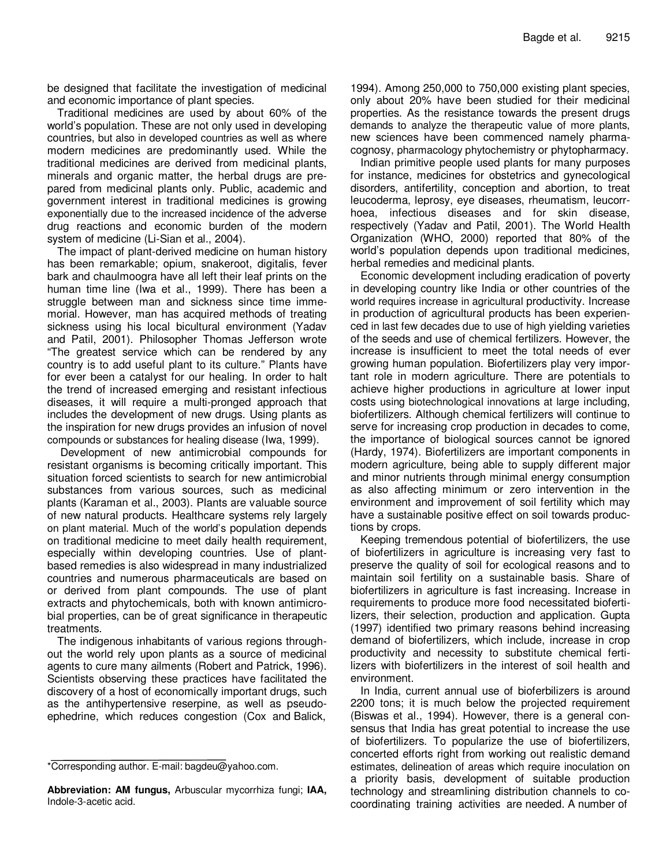be designed that facilitate the investigation of medicinal and economic importance of plant species.

Traditional medicines are used by about 60% of the world's population. These are not only used in developing countries, but also in developed countries as well as where modern medicines are predominantly used. While the traditional medicines are derived from medicinal plants, minerals and organic matter, the herbal drugs are prepared from medicinal plants only. Public, academic and government interest in traditional medicines is growing exponentially due to the increased incidence of the adverse drug reactions and economic burden of the modern system of medicine (Li-Sian et al., 2004).

The impact of plant-derived medicine on human history has been remarkable; opium, snakeroot, digitalis, fever bark and chaulmoogra have all left their leaf prints on the human time line (Iwa et al., 1999). There has been a struggle between man and sickness since time immemorial. However, man has acquired methods of treating sickness using his local bicultural environment (Yadav and Patil, 2001). Philosopher Thomas Jefferson wrote "The greatest service which can be rendered by any country is to add useful plant to its culture." Plants have for ever been a catalyst for our healing. In order to halt the trend of increased emerging and resistant infectious diseases, it will require a multi-pronged approach that includes the development of new drugs. Using plants as the inspiration for new drugs provides an infusion of novel compounds or substances for healing disease (Iwa, 1999).

Development of new antimicrobial compounds for resistant organisms is becoming critically important. This situation forced scientists to search for new antimicrobial substances from various sources, such as medicinal plants (Karaman et al., 2003). Plants are valuable source of new natural products. Healthcare systems rely largely on plant material. Much of the world's population depends on traditional medicine to meet daily health requirement, especially within developing countries. Use of plantbased remedies is also widespread in many industrialized countries and numerous pharmaceuticals are based on or derived from plant compounds. The use of plant extracts and phytochemicals, both with known antimicrobial properties, can be of great significance in therapeutic treatments.

The indigenous inhabitants of various regions throughout the world rely upon plants as a source of medicinal agents to cure many ailments (Robert and Patrick, 1996). Scientists observing these practices have facilitated the discovery of a host of economically important drugs, such as the antihypertensive reserpine, as well as pseudoephedrine, which reduces congestion (Cox and Balick,

1994). Among 250,000 to 750,000 existing plant species, only about 20% have been studied for their medicinal properties. As the resistance towards the present drugs demands to analyze the therapeutic value of more plants, new sciences have been commenced namely pharmacognosy, pharmacology phytochemistry or phytopharmacy.

Indian primitive people used plants for many purposes for instance, medicines for obstetrics and gynecological disorders, antifertility, conception and abortion, to treat leucoderma, leprosy, eye diseases, rheumatism, leucorrhoea, infectious diseases and for skin disease, respectively (Yadav and Patil, 2001). The World Health Organization (WHO, 2000) reported that 80% of the world's population depends upon traditional medicines, herbal remedies and medicinal plants.

Economic development including eradication of poverty in developing country like India or other countries of the world requires increase in agricultural productivity. Increase in production of agricultural products has been experienced in last few decades due to use of high yielding varieties of the seeds and use of chemical fertilizers. However, the increase is insufficient to meet the total needs of ever growing human population. Biofertilizers play very important role in modern agriculture. There are potentials to achieve higher productions in agriculture at lower input costs using biotechnological innovations at large including, biofertilizers. Although chemical fertilizers will continue to serve for increasing crop production in decades to come, the importance of biological sources cannot be ignored (Hardy, 1974). Biofertilizers are important components in modern agriculture, being able to supply different major and minor nutrients through minimal energy consumption as also affecting minimum or zero intervention in the environment and improvement of soil fertility which may have a sustainable positive effect on soil towards productions by crops.

Keeping tremendous potential of biofertilizers, the use of biofertilizers in agriculture is increasing very fast to preserve the quality of soil for ecological reasons and to maintain soil fertility on a sustainable basis. Share of biofertilizers in agriculture is fast increasing. Increase in requirements to produce more food necessitated biofertilizers, their selection, production and application. Gupta (1997) identified two primary reasons behind increasing demand of biofertilizers, which include, increase in crop productivity and necessity to substitute chemical fertilizers with biofertilizers in the interest of soil health and environment.

In India, current annual use of bioferbilizers is around 2200 tons; it is much below the projected requirement (Biswas et al., 1994). However, there is a general consensus that India has great potential to increase the use of biofertilizers. To popularize the use of biofertilizers, concerted efforts right from working out realistic demand estimates, delineation of areas which require inoculation on a priority basis, development of suitable production technology and streamlining distribution channels to cocoordinating training activities are needed. A number of

<sup>\*</sup>Corresponding author. E-mail: bagdeu@yahoo.com.

**Abbreviation: AM fungus,** Arbuscular mycorrhiza fungi; **IAA,** Indole-3-acetic acid.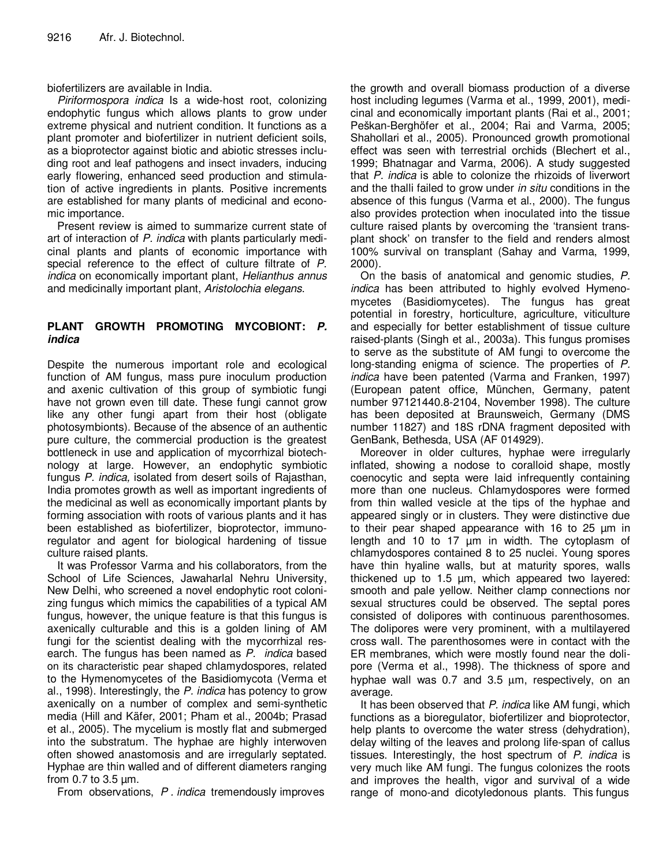biofertilizers are available in India.

*Piriformospora indica* Is a wide-host root, colonizing endophytic fungus which allows plants to grow under extreme physical and nutrient condition. It functions as a plant promoter and biofertilizer in nutrient deficient soils, as a bioprotector against biotic and abiotic stresses including root and leaf pathogens and insect invaders, inducing early flowering, enhanced seed production and stimulation of active ingredients in plants. Positive increments are established for many plants of medicinal and economic importance.

Present review is aimed to summarize current state of art of interaction of *P. indica* with plants particularly medicinal plants and plants of economic importance with special reference to the effect of culture filtrate of *P. indica* on economically important plant, *Helianthus annus* and medicinally important plant, *Aristolochia elegans*.

## **PLANT GROWTH PROMOTING MYCOBIONT:** *P. indica*

Despite the numerous important role and ecological function of AM fungus, mass pure inoculum production and axenic cultivation of this group of symbiotic fungi have not grown even till date. These fungi cannot grow like any other fungi apart from their host (obligate photosymbionts). Because of the absence of an authentic pure culture, the commercial production is the greatest bottleneck in use and application of mycorrhizal biotechnology at large. However, an endophytic symbiotic fungus *P. indica,* isolated from desert soils of Rajasthan, India promotes growth as well as important ingredients of the medicinal as well as economically important plants by forming association with roots of various plants and it has been established as biofertilizer, bioprotector, immunoregulator and agent for biological hardening of tissue culture raised plants.

It was Professor Varma and his collaborators, from the School of Life Sciences, Jawaharlal Nehru University, New Delhi, who screened a novel endophytic root colonizing fungus which mimics the capabilities of a typical AM fungus, however, the unique feature is that this fungus is axenically culturable and this is a golden lining of AM fungi for the scientist dealing with the mycorrhizal research. The fungus has been named as *P. indica* based on its characteristic pear shaped chlamydospores, related to the Hymenomycetes of the Basidiomycota (Verma et al., 1998). Interestingly, the *P. indica* has potency to grow axenically on a number of complex and semi-synthetic media (Hill and Käfer, 2001; Pham et al., 2004b; Prasad et al., 2005). The mycelium is mostly flat and submerged into the substratum. The hyphae are highly interwoven often showed anastomosis and are irregularly septated. Hyphae are thin walled and of different diameters ranging from 0.7 to 3.5 µm.

From observations, *P . indica* tremendously improves

the growth and overall biomass production of a diverse host including legumes (Varma et al., 1999, 2001), medicinal and economically important plants (Rai et al., 2001; Peškan-Berghöfer et al., 2004; Rai and Varma, 2005; Shahollari et al., 2005). Pronounced growth promotional effect was seen with terrestrial orchids (Blechert et al., 1999; Bhatnagar and Varma, 2006). A study suggested that *P. indica* is able to colonize the rhizoids of liverwort and the thalli failed to grow under *in situ* conditions in the absence of this fungus (Varma et al., 2000). The fungus also provides protection when inoculated into the tissue culture raised plants by overcoming the 'transient transplant shock' on transfer to the field and renders almost 100% survival on transplant (Sahay and Varma, 1999, 2000).

On the basis of anatomical and genomic studies, *P. indica* has been attributed to highly evolved Hymenomycetes (Basidiomycetes). The fungus has great potential in forestry, horticulture, agriculture, viticulture and especially for better establishment of tissue culture raised-plants (Singh et al., 2003a). This fungus promises to serve as the substitute of AM fungi to overcome the long-standing enigma of science. The properties of *P. indica* have been patented (Varma and Franken, 1997) (European patent office, München, Germany, patent number 97121440.8-2104, November 1998). The culture has been deposited at Braunsweich, Germany (DMS number 11827) and 18S rDNA fragment deposited with GenBank, Bethesda, USA (AF 014929).

Moreover in older cultures, hyphae were irregularly inflated, showing a nodose to coralloid shape, mostly coenocytic and septa were laid infrequently containing more than one nucleus. Chlamydospores were formed from thin walled vesicle at the tips of the hyphae and appeared singly or in clusters. They were distinctive due to their pear shaped appearance with 16 to 25 µm in length and 10 to 17 µm in width. The cytoplasm of chlamydospores contained 8 to 25 nuclei. Young spores have thin hyaline walls, but at maturity spores, walls thickened up to 1.5 µm, which appeared two layered: smooth and pale yellow. Neither clamp connections nor sexual structures could be observed. The septal pores consisted of dolipores with continuous parenthosomes. The dolipores were very prominent, with a multilayered cross wall. The parenthosomes were in contact with the ER membranes, which were mostly found near the dolipore (Verma et al., 1998). The thickness of spore and hyphae wall was 0.7 and 3.5  $\mu$ m, respectively, on an average.

It has been observed that *P. indica* like AM fungi, which functions as a bioregulator, biofertilizer and bioprotector, help plants to overcome the water stress (dehydration), delay wilting of the leaves and prolong life-span of callus tissues. Interestingly, the host spectrum of *P. indica* is very much like AM fungi. The fungus colonizes the roots and improves the health, vigor and survival of a wide range of mono-and dicotyledonous plants. This fungus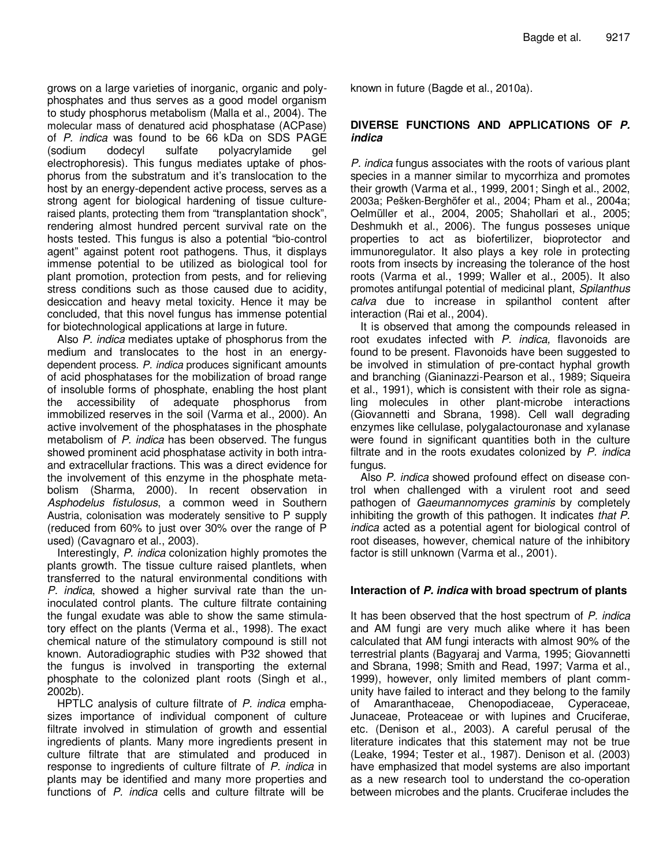grows on a large varieties of inorganic, organic and polyphosphates and thus serves as a good model organism to study phosphorus metabolism (Malla et al., 2004). The molecular mass of denatured acid phosphatase (ACPase) of *P. indica* was found to be 66 kDa on SDS PAGE (sodium dodecyl sulfate polyacrylamide gel electrophoresis). This fungus mediates uptake of phosphorus from the substratum and it's translocation to the host by an energy-dependent active process, serves as a strong agent for biological hardening of tissue cultureraised plants, protecting them from "transplantation shock", rendering almost hundred percent survival rate on the hosts tested. This fungus is also a potential "bio-control agent" against potent root pathogens. Thus, it displays immense potential to be utilized as biological tool for plant promotion, protection from pests, and for relieving stress conditions such as those caused due to acidity, desiccation and heavy metal toxicity. Hence it may be concluded, that this novel fungus has immense potential for biotechnological applications at large in future.

Also *P. indica* mediates uptake of phosphorus from the medium and translocates to the host in an energydependent process. *P. indica* produces significant amounts of acid phosphatases for the mobilization of broad range of insoluble forms of phosphate, enabling the host plant the accessibility of adequate phosphorus from immobilized reserves in the soil (Varma et al., 2000). An active involvement of the phosphatases in the phosphate metabolism of *P. indica* has been observed. The fungus showed prominent acid phosphatase activity in both intraand extracellular fractions. This was a direct evidence for the involvement of this enzyme in the phosphate metabolism (Sharma, 2000). In recent observation in *Asphodelus fistulosus*, a common weed in Southern Austria, colonisation was moderately sensitive to P supply (reduced from 60% to just over 30% over the range of P used) (Cavagnaro et al., 2003).

Interestingly, *P. indica* colonization highly promotes the plants growth. The tissue culture raised plantlets, when transferred to the natural environmental conditions with *P. indica*, showed a higher survival rate than the uninoculated control plants. The culture filtrate containing the fungal exudate was able to show the same stimulatory effect on the plants (Verma et al., 1998). The exact chemical nature of the stimulatory compound is still not known. Autoradiographic studies with P32 showed that the fungus is involved in transporting the external phosphate to the colonized plant roots (Singh et al., 2002b).

HPTLC analysis of culture filtrate of *P. indica* emphasizes importance of individual component of culture filtrate involved in stimulation of growth and essential ingredients of plants. Many more ingredients present in culture filtrate that are stimulated and produced in response to ingredients of culture filtrate of *P. indica* in plants may be identified and many more properties and functions of *P. indica* cells and culture filtrate will be

known in future (Bagde et al., 2010a).

### **DIVERSE FUNCTIONS AND APPLICATIONS OF** *P. indica*

*P. indica* fungus associates with the roots of various plant species in a manner similar to mycorrhiza and promotes their growth (Varma et al., 1999, 2001; Singh et al., 2002, 2003a; Pešken-Berghöfer et al., 2004; Pham et al., 2004a; Oelmüller et al., 2004, 2005; Shahollari et al., 2005; Deshmukh et al., 2006). The fungus posseses unique properties to act as biofertilizer, bioprotector and immunoregulator. It also plays a key role in protecting roots from insects by increasing the tolerance of the host roots (Varma et al., 1999; Waller et al., 2005). It also promotes antifungal potential of medicinal plant, *Spilanthus calva* due to increase in spilanthol content after interaction (Rai et al., 2004).

It is observed that among the compounds released in root exudates infected with *P. indica,* flavonoids are found to be present. Flavonoids have been suggested to be involved in stimulation of pre-contact hyphal growth and branching (Gianinazzi-Pearson et al., 1989; Siqueira et al., 1991), which is consistent with their role as signaling molecules in other plant-microbe interactions (Giovannetti and Sbrana, 1998). Cell wall degrading enzymes like cellulase, polygalactouronase and xylanase were found in significant quantities both in the culture filtrate and in the roots exudates colonized by *P. indica* fungus.

Also *P. indica* showed profound effect on disease control when challenged with a virulent root and seed pathogen of *Gaeumannomyces graminis* by completely inhibiting the growth of this pathogen. It indicates *that P. indica* acted as a potential agent for biological control of root diseases, however, chemical nature of the inhibitory factor is still unknown (Varma et al., 2001).

### **Interaction of** *P. indica* **with broad spectrum of plants**

It has been observed that the host spectrum of *P. indica* and AM fungi are very much alike where it has been calculated that AM fungi interacts with almost 90% of the terrestrial plants (Bagyaraj and Varma, 1995; Giovannetti and Sbrana, 1998; Smith and Read, 1997; Varma et al., 1999), however, only limited members of plant community have failed to interact and they belong to the family of Amaranthaceae, Chenopodiaceae, Cyperaceae, Junaceae, Proteaceae or with lupines and Cruciferae, etc. (Denison et al., 2003). A careful perusal of the literature indicates that this statement may not be true (Leake, 1994; Tester et al., 1987). Denison et al. (2003) have emphasized that model systems are also important as a new research tool to understand the co-operation between microbes and the plants. Cruciferae includes the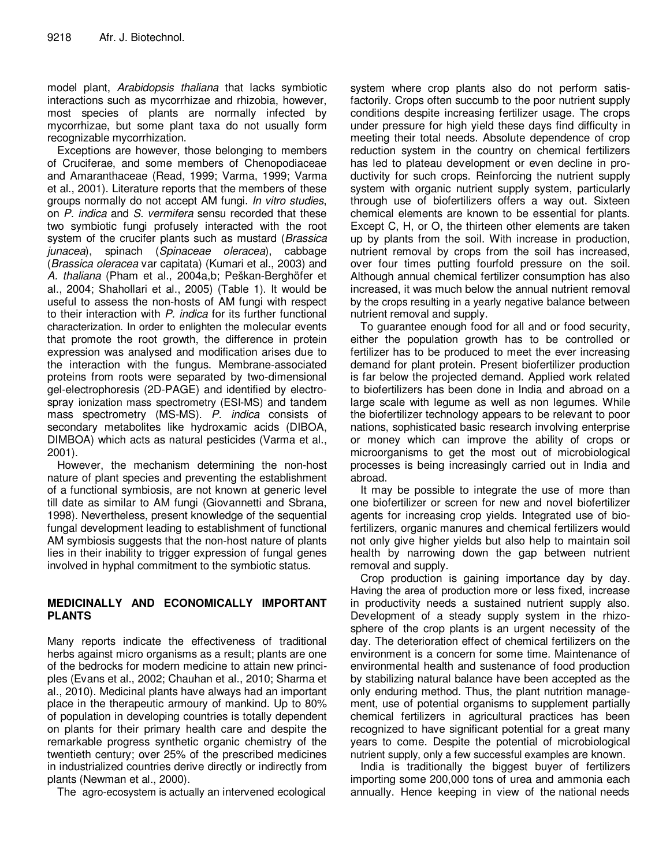model plant, *Arabidopsis thaliana* that lacks symbiotic interactions such as mycorrhizae and rhizobia, however, most species of plants are normally infected by mycorrhizae, but some plant taxa do not usually form recognizable mycorrhization.

Exceptions are however, those belonging to members of Cruciferae, and some members of Chenopodiaceae and Amaranthaceae (Read, 1999; Varma, 1999; Varma et al., 2001). Literature reports that the members of these groups normally do not accept AM fungi. *In vitro studies*, on *P. indica* and *S. vermifera* sensu recorded that these two symbiotic fungi profusely interacted with the root system of the crucifer plants such as mustard (*Brassica junacea*), spinach (*Spinaceae oleracea*), cabbage (*Brassica oleracea* var capitata) (Kumari et al., 2003) and *A. thaliana* (Pham et al., 2004a,b; Peškan-Berghöfer et al., 2004; Shahollari et al., 2005) (Table 1). It would be useful to assess the non-hosts of AM fungi with respect to their interaction with *P. indica* for its further functional characterization. In order to enlighten the molecular events that promote the root growth, the difference in protein expression was analysed and modification arises due to the interaction with the fungus. Membrane-associated proteins from roots were separated by two-dimensional gel-electrophoresis (2D-PAGE) and identified by electrospray ionization mass spectrometry (ESI-MS) and tandem mass spectrometry (MS-MS). *P. indica* consists of secondary metabolites like hydroxamic acids (DIBOA, DIMBOA) which acts as natural pesticides (Varma et al., 2001).

However, the mechanism determining the non-host nature of plant species and preventing the establishment of a functional symbiosis, are not known at generic level till date as similar to AM fungi (Giovannetti and Sbrana, 1998). Nevertheless, present knowledge of the sequential fungal development leading to establishment of functional AM symbiosis suggests that the non-host nature of plants lies in their inability to trigger expression of fungal genes involved in hyphal commitment to the symbiotic status.

# **MEDICINALLY AND ECONOMICALLY IMPORTANT PLANTS**

Many reports indicate the effectiveness of traditional herbs against micro organisms as a result; plants are one of the bedrocks for modern medicine to attain new principles (Evans et al., 2002; Chauhan et al., 2010; Sharma et al., 2010). Medicinal plants have always had an important place in the therapeutic armoury of mankind. Up to 80% of population in developing countries is totally dependent on plants for their primary health care and despite the remarkable progress synthetic organic chemistry of the twentieth century; over 25% of the prescribed medicines in industrialized countries derive directly or indirectly from plants (Newman et al., 2000).

The agro-ecosystem is actually an intervened ecological

system where crop plants also do not perform satisfactorily. Crops often succumb to the poor nutrient supply conditions despite increasing fertilizer usage. The crops under pressure for high yield these days find difficulty in meeting their total needs. Absolute dependence of crop reduction system in the country on chemical fertilizers has led to plateau development or even decline in productivity for such crops. Reinforcing the nutrient supply system with organic nutrient supply system, particularly through use of biofertilizers offers a way out. Sixteen chemical elements are known to be essential for plants. Except C, H, or O, the thirteen other elements are taken up by plants from the soil. With increase in production, nutrient removal by crops from the soil has increased, over four times putting fourfold pressure on the soil. Although annual chemical fertilizer consumption has also increased, it was much below the annual nutrient removal by the crops resulting in a yearly negative balance between nutrient removal and supply.

To guarantee enough food for all and or food security, either the population growth has to be controlled or fertilizer has to be produced to meet the ever increasing demand for plant protein. Present biofertilizer production is far below the projected demand. Applied work related to biofertilizers has been done in India and abroad on a large scale with legume as well as non legumes. While the biofertilizer technology appears to be relevant to poor nations, sophisticated basic research involving enterprise or money which can improve the ability of crops or microorganisms to get the most out of microbiological processes is being increasingly carried out in India and abroad.

It may be possible to integrate the use of more than one biofertilizer or screen for new and novel biofertilizer agents for increasing crop yields. Integrated use of biofertilizers, organic manures and chemical fertilizers would not only give higher yields but also help to maintain soil health by narrowing down the gap between nutrient removal and supply.

Crop production is gaining importance day by day. Having the area of production more or less fixed, increase in productivity needs a sustained nutrient supply also. Development of a steady supply system in the rhizosphere of the crop plants is an urgent necessity of the day. The deterioration effect of chemical fertilizers on the environment is a concern for some time. Maintenance of environmental health and sustenance of food production by stabilizing natural balance have been accepted as the only enduring method. Thus, the plant nutrition management, use of potential organisms to supplement partially chemical fertilizers in agricultural practices has been recognized to have significant potential for a great many years to come. Despite the potential of microbiological nutrient supply, only a few successful examples are known.

India is traditionally the biggest buyer of fertilizers importing some 200,000 tons of urea and ammonia each annually. Hence keeping in view of the national needs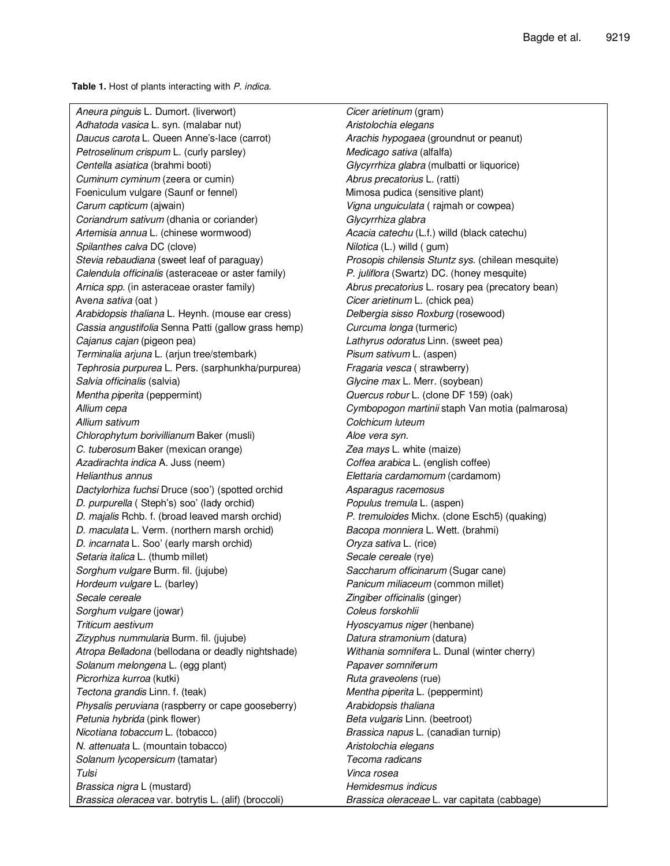**Table 1.** Host of plants interacting with *P. indica.*

*Aneura pinguis* L*.* Dumort. (liverwort) *Cicer arietinum* (gram) *Adhatoda vasica* L. syn. (malabar nut) *Aristolochia elegans Daucus carota* L. Queen Anne's-lace (carrot) *Arachis hypogaea* (groundnut or peanut) *Petroselinum crispum* L. (curly parsley) *Medicago sativa* (alfalfa) *Centella asiatica* (brahmi booti) *Glycyrrhiza glabra* (mulbatti or liquorice) *Cuminum cyminum* (zeera or cumin) *Abrus precatorius* L. (ratti) Foeniculum vulgare (Saunf or fennel) Mimosa pudica (sensitive plant) *Carum capticum* (ajwain) *Vigna unguiculata* ( rajmah or cowpea) *Coriandrum sativum* (dhania or coriander) *Glycyrrhiza glabra Artemisia annua* L. (chinese wormwood) *Acacia catechu* (L.f.) willd (black catechu) *Spilanthes calva* DC (clove) *Nilotica* (L.) willd ( gum) *Stevia rebaudiana* (sweet leaf of paraguay) *Prosopis chilensis Stuntz sys*. (chilean mesquite) *Calendula officinalis* (asteraceae or aster family) *P. juliflora* (Swartz) DC. (honey mesquite) *Arnica spp.* (in asteraceae oraster family) *Abrus precatorius* L. rosary pea (precatory bean) Ave*na sativa* (oat ) *Cicer arietinum* L. (chick pea) *Arabidopsis thaliana* L. Heynh. (mouse ear cress) *Delbergia sisso Roxburg* (rosewood) *Cassia angustifolia* Senna Patti (gallow grass hemp) *Curcuma longa* (turmeric) *Cajanus cajan* (pigeon pea) *Lathyrus odoratus* Linn. (sweet pea) *Terminalia arjuna* L. (arjun tree/stembark) *Pisum sativum* L. (aspen) *Tephrosia purpurea* L. Pers. (sarphunkha/purpurea) *Fragaria vesca* ( strawberry) *Salvia officinalis* (salvia) *Glycine max* L. Merr. (soybean) *Mentha piperita* (peppermint) *Quercus robur* L. (clone DF 159) (oak) *Allium cepa Cymbopogon martinii* staph Van motia (palmarosa) *Allium sativum Colchicum luteum Chlorophytum borivillianum* Baker (musli) *Aloe vera syn. C. tuberosum* Baker (mexican orange) *Zea mays* L. white (maize) *Azadirachta indica* A. Juss (neem) *Coffea arabica* L. (english coffee) *Helianthus annus Elettaria cardamomum* (cardamom) *Dactylorhiza fuchsi* Druce (soo') (spotted orchid *Asparagus racemosus D. purpurella* ( Steph's) soo' (lady orchid) *Populus tremula* L. (aspen) *D. majalis* Rchb. f. (broad leaved marsh orchid) *P. tremuloides* Michx. (clone Esch5) (quaking) *D. maculata* L. Verm. (northern marsh orchid) *Bacopa monniera* L. Wett. (brahmi) *D. incarnata* L. Soo' (early marsh orchid) *Oryza sativa* L. (rice) *Setaria italica* L. (thumb millet) *Secale cereale* (rye) *Sorghum vulgare* Burm. fil. (jujube) *Saccharum officinarum* (Sugar cane) *Hordeum vulgare* L. (barley) *Panicum miliaceum* (common millet) *Secale cereale Zingiber officinalis* (ginger) *Sorghum vulgare* (jowar) *Coleus forskohlii Triticum aestivum Hyoscyamus niger* (henbane) *Zizyphus nummularia* Burm. fil. (jujube) *Datura stramonium* (datura) *Atropa Belladona* (bellodana or deadly nightshade) *Withania somnifera* L. Dunal (winter cherry) *Solanum melongena* L. (egg plant) *Papaver somnife*r*um Picrorhiza kurroa* (kutki) *Ruta graveolens* (rue) *Tectona grandis* Linn. f. (teak) *Mentha piperita* L. (peppermint) *Physalis peruviana* (raspberry or cape gooseberry) *Arabidopsis thaliana Petunia hybrida* (pink flower) *Beta vulgaris* Linn. (beetroot) *Nicotiana tobaccum* L. (tobacco) *Brassica napus* L. (canadian turnip) *N. attenuata* L. (mountain tobacco) *Aristolochia elegans Solanum lycopersicum* (tamatar) *Tecoma radicans Tulsi Vinca rosea Brassica nigra* L (mustard) *Hemidesmus indicus*

*Brassica oleracea* var. botrytis L. (alif) (broccoli) *Brassica oleraceae* L. var capitata (cabbage)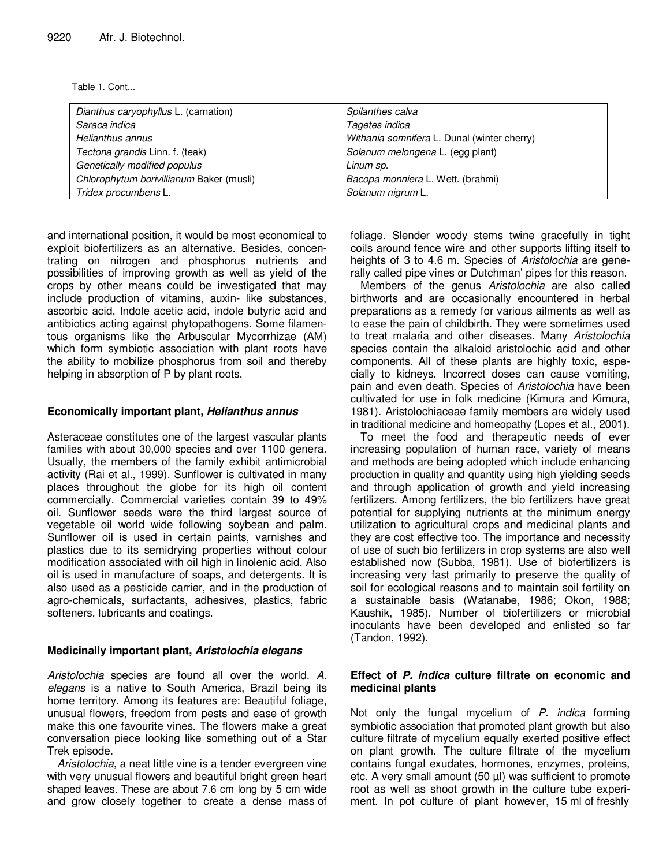Table 1. Cont...

| Dianthus caryophyllus L. (carnation)     | Spilanthes calva                            |
|------------------------------------------|---------------------------------------------|
| Saraca indica                            | Tagetes indica                              |
| Helianthus annus                         | Withania somnifera L. Dunal (winter cherry) |
| Tectona grandis Linn. f. (teak)          | Solanum melongena L. (egg plant)            |
| Genetically modified populus             | Linum sp.                                   |
| Chlorophytum borivillianum Baker (musli) | Bacopa monniera L. Wett. (brahmi)           |
| Tridex procumbens L.                     | Solanum nigrum L.                           |

and international position, it would be most economical to exploit biofertilizers as an alternative. Besides, concentrating on nitrogen and phosphorus nutrients and possibilities of improving growth as well as yield of the crops by other means could be investigated that may include production of vitamins, auxin- like substances, ascorbic acid, Indole acetic acid, indole butyric acid and antibiotics acting against phytopathogens. Some filamentous organisms like the Arbuscular Mycorrhizae (AM) which form symbiotic association with plant roots have the ability to mobilize phosphorus from soil and thereby helping in absorption of P by plant roots.

#### **Economically important plant,** *Helianthus annus*

Asteraceae constitutes one of the largest vascular plants families with about 30,000 species and over 1100 genera. Usually, the members of the family exhibit antimicrobial activity (Rai et al., 1999). Sunflower is cultivated in many places throughout the globe for its high oil content commercially. Commercial varieties contain 39 to 49% oil. Sunflower seeds were the third largest source of vegetable oil world wide following soybean and palm. Sunflower oil is used in certain paints, varnishes and plastics due to its semidrying properties without colour modification associated with oil high in linolenic acid. Also oil is used in manufacture of soaps, and detergents. It is also used as a pesticide carrier, and in the production of agro-chemicals, surfactants, adhesives, plastics, fabric softeners, lubricants and coatings.

### **Medicinally important plant,** *Aristolochia elegans*

*Aristolochia* species are found all over the world. *A. elegans* is a native to South America, Brazil being its home territory. Among its features are: Beautiful foliage, unusual flowers, freedom from pests and ease of growth make this one favourite vines. The flowers make a great conversation piece looking like something out of a Star Trek episode.

*Aristolochia*, a neat little vine is a tender evergreen vine with very unusual flowers and beautiful bright green heart shaped leaves. These are about 7.6 cm long by 5 cm wide and grow closely together to create a dense mass of foliage. Slender woody stems twine gracefully in tight coils around fence wire and other supports lifting itself to heights of 3 to 4.6 m. Species of *Aristolochia* are generally called pipe vines or Dutchman' pipes for this reason.

Members of the genus *Aristolochia* are also called birthworts and are occasionally encountered in herbal preparations as a remedy for various ailments as well as to ease the pain of childbirth. They were sometimes used to treat malaria and other diseases. Many *Aristolochia* species contain the alkaloid aristolochic acid and other components. All of these plants are highly toxic, especially to kidneys. Incorrect doses can cause vomiting, pain and even death. Species of *Aristolochia* have been cultivated for use in folk medicine (Kimura and Kimura, 1981). Aristolochiaceae family members are widely used in traditional medicine and homeopathy (Lopes et al., 2001).

To meet the food and therapeutic needs of ever increasing population of human race, variety of means and methods are being adopted which include enhancing production in quality and quantity using high yielding seeds and through application of growth and yield increasing fertilizers. Among fertilizers, the bio fertilizers have great potential for supplying nutrients at the minimum energy utilization to agricultural crops and medicinal plants and they are cost effective too. The importance and necessity of use of such bio fertilizers in crop systems are also well established now (Subba, 1981). Use of biofertilizers is increasing very fast primarily to preserve the quality of soil for ecological reasons and to maintain soil fertility on a sustainable basis (Watanabe, 1986; Okon, 1988; Kaushik, 1985). Number of biofertilizers or microbial inoculants have been developed and enlisted so far (Tandon, 1992).

## **Effect of** *P. indica* **culture filtrate on economic and medicinal plants**

Not only the fungal mycelium of *P. indica* forming symbiotic association that promoted plant growth but also culture filtrate of mycelium equally exerted positive effect on plant growth. The culture filtrate of the mycelium contains fungal exudates, hormones, enzymes, proteins, etc. A very small amount (50 µl) was sufficient to promote root as well as shoot growth in the culture tube experiment. In pot culture of plant however, 15 ml of freshly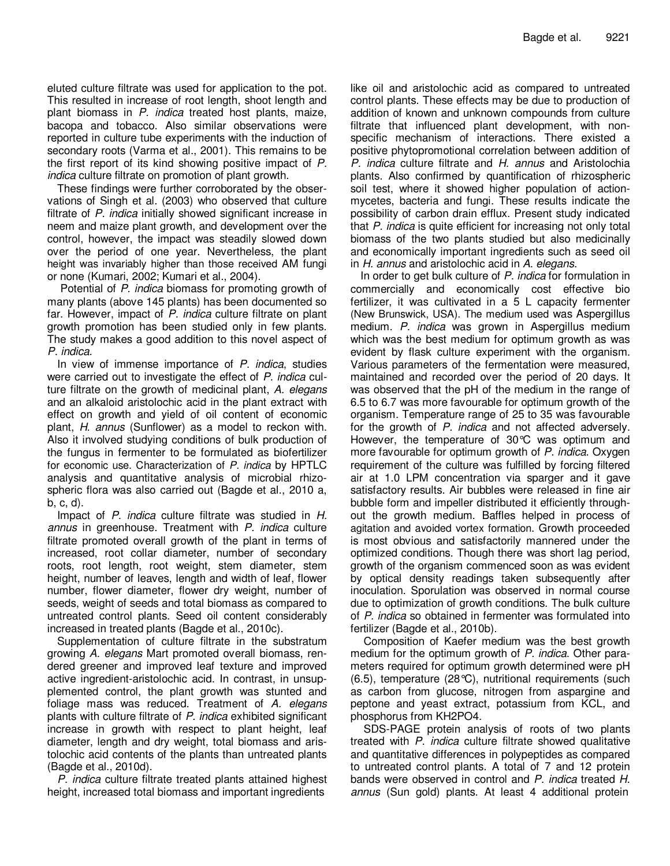eluted culture filtrate was used for application to the pot. This resulted in increase of root length, shoot length and plant biomass in *P. indica* treated host plants, maize, bacopa and tobacco. Also similar observations were reported in culture tube experiments with the induction of secondary roots (Varma et al., 2001). This remains to be the first report of its kind showing positive impact of *P. indica* culture filtrate on promotion of plant growth.

These findings were further corroborated by the observations of Singh et al. (2003) who observed that culture filtrate of *P. indica* initially showed significant increase in neem and maize plant growth, and development over the control, however, the impact was steadily slowed down over the period of one year. Nevertheless, the plant height was invariably higher than those received AM fungi or none (Kumari, 2002; Kumari et al., 2004).

Potential of *P. indica* biomass for promoting growth of many plants (above 145 plants) has been documented so far. However, impact of *P. indica* culture filtrate on plant growth promotion has been studied only in few plants. The study makes a good addition to this novel aspect of *P. indica*.

In view of immense importance of *P. indica*, studies were carried out to investigate the effect of *P. indica* culture filtrate on the growth of medicinal plant, *A. elegans* and an alkaloid aristolochic acid in the plant extract with effect on growth and yield of oil content of economic plant, *H. annus* (Sunflower) as a model to reckon with. Also it involved studying conditions of bulk production of the fungus in fermenter to be formulated as biofertilizer for economic use. Characterization of *P. indica* by HPTLC analysis and quantitative analysis of microbial rhizospheric flora was also carried out (Bagde et al., 2010 a, b, c, d).

Impact of *P. indica* culture filtrate was studied in *H. annus* in greenhouse. Treatment with *P. indica* culture filtrate promoted overall growth of the plant in terms of increased, root collar diameter, number of secondary roots, root length, root weight, stem diameter, stem height, number of leaves, length and width of leaf, flower number, flower diameter, flower dry weight, number of seeds, weight of seeds and total biomass as compared to untreated control plants. Seed oil content considerably increased in treated plants (Bagde et al., 2010c).

Supplementation of culture filtrate in the substratum growing *A. elegans* Mart promoted overall biomass, rendered greener and improved leaf texture and improved active ingredient-aristolochic acid. In contrast, in unsupplemented control, the plant growth was stunted and foliage mass was reduced. Treatment of *A. elegans* plants with culture filtrate of *P. indica* exhibited significant increase in growth with respect to plant height, leaf diameter, length and dry weight, total biomass and aristolochic acid contents of the plants than untreated plants (Bagde et al., 2010d).

*P. indica* culture filtrate treated plants attained highest height, increased total biomass and important ingredients

like oil and aristolochic acid as compared to untreated control plants. These effects may be due to production of addition of known and unknown compounds from culture filtrate that influenced plant development, with nonspecific mechanism of interactions. There existed a positive phytopromotional correlation between addition of *P. indica* culture filtrate and *H. annus* and Aristolochia plants. Also confirmed by quantification of rhizospheric soil test, where it showed higher population of actionmycetes, bacteria and fungi. These results indicate the possibility of carbon drain efflux. Present study indicated that *P. indica* is quite efficient for increasing not only total biomass of the two plants studied but also medicinally and economically important ingredients such as seed oil in *H. annus* and aristolochic acid in *A. elegans*.

In order to get bulk culture of *P. indica* for formulation in commercially and economically cost effective bio fertilizer, it was cultivated in a 5 L capacity fermenter (New Brunswick, USA). The medium used was Aspergillus medium. *P. indica* was grown in Aspergillus medium which was the best medium for optimum growth as was evident by flask culture experiment with the organism. Various parameters of the fermentation were measured, maintained and recorded over the period of 20 days. It was observed that the pH of the medium in the range of 6.5 to 6.7 was more favourable for optimum growth of the organism. Temperature range of 25 to 35 was favourable for the growth of *P. indica* and not affected adversely. However, the temperature of 30°C was optimum and more favourable for optimum growth of *P. indica*. Oxygen requirement of the culture was fulfilled by forcing filtered air at 1.0 LPM concentration via sparger and it gave satisfactory results. Air bubbles were released in fine air bubble form and impeller distributed it efficiently throughout the growth medium. Baffles helped in process of agitation and avoided vortex formation. Growth proceeded is most obvious and satisfactorily mannered under the optimized conditions. Though there was short lag period, growth of the organism commenced soon as was evident by optical density readings taken subsequently after inoculation. Sporulation was observed in normal course due to optimization of growth conditions. The bulk culture of *P. indica* so obtained in fermenter was formulated into fertilizer (Bagde et al., 2010b).

Composition of Kaefer medium was the best growth medium for the optimum growth of *P. indica*. Other parameters required for optimum growth determined were pH (6.5), temperature (28°C), nutritional requirements (such as carbon from glucose, nitrogen from aspargine and peptone and yeast extract, potassium from KCL, and phosphorus from KH2PO4.

SDS-PAGE protein analysis of roots of two plants treated with *P. indica* culture filtrate showed qualitative and quantitative differences in polypeptides as compared to untreated control plants. A total of 7 and 12 protein bands were observed in control and *P. indica* treated *H. annus* (Sun gold) plants. At least 4 additional protein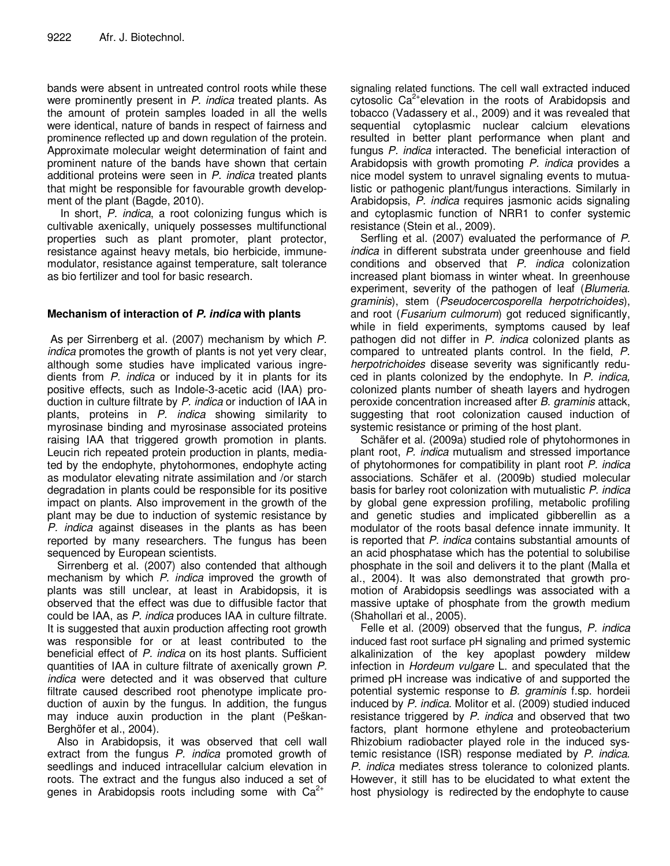bands were absent in untreated control roots while these were prominently present in *P. indica* treated plants. As the amount of protein samples loaded in all the wells were identical, nature of bands in respect of fairness and prominence reflected up and down regulation of the protein. Approximate molecular weight determination of faint and prominent nature of the bands have shown that certain additional proteins were seen in *P. indica* treated plants that might be responsible for favourable growth development of the plant (Bagde, 2010).

In short, *P. indica*, a root colonizing fungus which is cultivable axenically, uniquely possesses multifunctional properties such as plant promoter, plant protector, resistance against heavy metals, bio herbicide, immunemodulator, resistance against temperature, salt tolerance as bio fertilizer and tool for basic research.

# **Mechanism of interaction of** *P. indica* **with plants**

As per Sirrenberg et al. (2007) mechanism by which *P. indica* promotes the growth of plants is not yet very clear, although some studies have implicated various ingredients from *P. indica* or induced by it in plants for its positive effects, such as Indole-3-acetic acid (IAA) production in culture filtrate by *P. indica* or induction of IAA in plants, proteins in *P. indica* showing similarity to myrosinase binding and myrosinase associated proteins raising IAA that triggered growth promotion in plants. Leucin rich repeated protein production in plants, mediated by the endophyte, phytohormones, endophyte acting as modulator elevating nitrate assimilation and /or starch degradation in plants could be responsible for its positive impact on plants. Also improvement in the growth of the plant may be due to induction of systemic resistance by *P. indica* against diseases in the plants as has been reported by many researchers. The fungus has been sequenced by European scientists.

Sirrenberg et al. (2007) also contended that although mechanism by which *P. indica* improved the growth of plants was still unclear, at least in Arabidopsis, it is observed that the effect was due to diffusible factor that could be IAA, as *P. indica* produces IAA in culture filtrate. It is suggested that auxin production affecting root growth was responsible for or at least contributed to the beneficial effect of *P. indica* on its host plants. Sufficient quantities of IAA in culture filtrate of axenically grown *P. indica* were detected and it was observed that culture filtrate caused described root phenotype implicate production of auxin by the fungus. In addition, the fungus may induce auxin production in the plant (Peškan-Berghöfer et al., 2004).

Also in Arabidopsis, it was observed that cell wall extract from the fungus *P. indica* promoted growth of seedlings and induced intracellular calcium elevation in roots. The extract and the fungus also induced a set of genes in Arabidopsis roots including some with  $Ca^{2+}$ 

signaling related functions. The cell wall extracted induced cytosolic Ca<sup>2+</sup>elevation in the roots of Arabidopsis and tobacco (Vadassery et al., 2009) and it was revealed that sequential cytoplasmic nuclear calcium elevations resulted in better plant performance when plant and fungus *P. indica* interacted. The beneficial interaction of Arabidopsis with growth promoting *P. indica* provides a nice model system to unravel signaling events to mutualistic or pathogenic plant/fungus interactions. Similarly in Arabidopsis, *P. indica* requires jasmonic acids signaling and cytoplasmic function of NRR1 to confer systemic resistance (Stein et al., 2009).

Serfling et al. (2007) evaluated the performance of *P. indica* in different substrata under greenhouse and field conditions and observed that *P. indica* colonization increased plant biomass in winter wheat. In greenhouse experiment, severity of the pathogen of leaf (*Blumeria. graminis*), stem (*Pseudocercosporella herpotrichoides*), and root (*Fusarium culmorum*) got reduced significantly, while in field experiments, symptoms caused by leaf pathogen did not differ in *P. indica* colonized plants as compared to untreated plants control. In the field, *P. herpotrichoides* disease severity was significantly reduced in plants colonized by the endophyte. In *P. indica,* colonized plants number of sheath layers and hydrogen peroxide concentration increased after *B. graminis* attack, suggesting that root colonization caused induction of systemic resistance or priming of the host plant.

Schäfer et al. (2009a) studied role of phytohormones in plant root, *P. indica* mutualism and stressed importance of phytohormones for compatibility in plant root *P. indica* associations. Schäfer et al. (2009b) studied molecular basis for barley root colonization with mutualistic *P. indica* by global gene expression profiling, metabolic profiling and genetic studies and implicated gibberellin as a modulator of the roots basal defence innate immunity. It is reported that *P. indica* contains substantial amounts of an acid phosphatase which has the potential to solubilise phosphate in the soil and delivers it to the plant (Malla et al., 2004). It was also demonstrated that growth promotion of Arabidopsis seedlings was associated with a massive uptake of phosphate from the growth medium (Shahollari et al., 2005).

Felle et al. (2009) observed that the fungus, *P. indica* induced fast root surface pH signaling and primed systemic alkalinization of the key apoplast powdery mildew infection in *Hordeum vulgare* L. and speculated that the primed pH increase was indicative of and supported the potential systemic response to *B. graminis* f.sp. hordeii induced by *P. indica*. Molitor et al. (2009) studied induced resistance triggered by *P. indica* and observed that two factors, plant hormone ethylene and proteobacterium Rhizobium radiobacter played role in the induced systemic resistance (ISR) response mediated by *P. indica*. *P. indica* mediates stress tolerance to colonized plants. However, it still has to be elucidated to what extent the host physiology is redirected by the endophyte to cause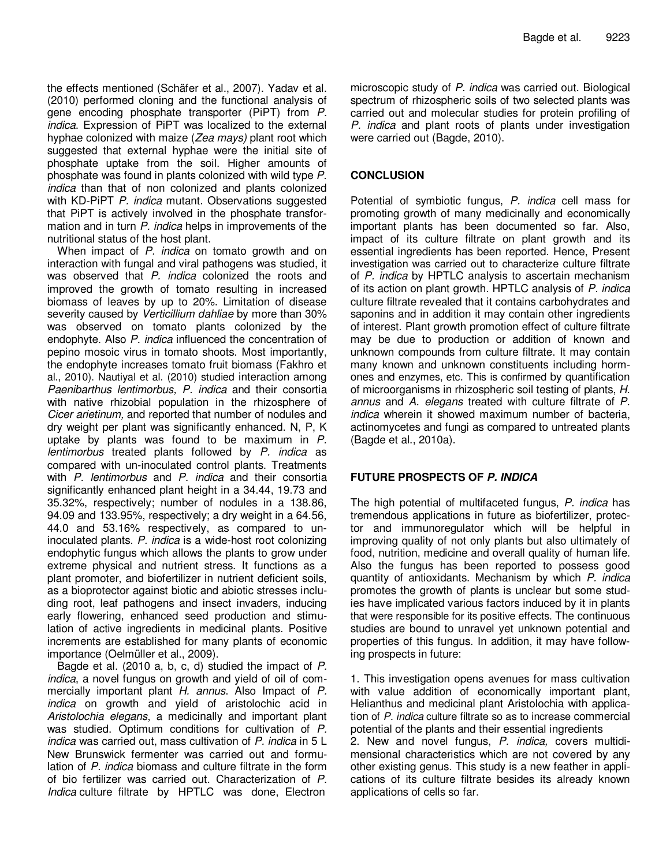the effects mentioned (Schäfer et al., 2007). Yadav et al. (2010) performed cloning and the functional analysis of gene encoding phosphate transporter (PiPT) from *P. indica*. Expression of PiPT was localized to the external hyphae colonized with maize (*Zea mays)* plant root which suggested that external hyphae were the initial site of phosphate uptake from the soil. Higher amounts of phosphate was found in plants colonized with wild type *P. indica* than that of non colonized and plants colonized with KD-PiPT *P. indica* mutant. Observations suggested that PiPT is actively involved in the phosphate transformation and in turn *P. indica* helps in improvements of the nutritional status of the host plant.

When impact of *P. indica* on tomato growth and on interaction with fungal and viral pathogens was studied, it was observed that *P. indica* colonized the roots and improved the growth of tomato resulting in increased biomass of leaves by up to 20%. Limitation of disease severity caused by *Verticillium dahliae* by more than 30% was observed on tomato plants colonized by the endophyte. Also *P. indica* influenced the concentration of pepino mosoic virus in tomato shoots. Most importantly, the endophyte increases tomato fruit biomass (Fakhro et al., 2010). Nautiyal et al. (2010) studied interaction among *Paenibarthus lentimorbus, P. indica* and their consortia with native rhizobial population in the rhizosphere of *Cicer arietinum,* and reported that number of nodules and dry weight per plant was significantly enhanced. N, P, K uptake by plants was found to be maximum in *P. lentimorbus* treated plants followed by *P. indica* as compared with un-inoculated control plants. Treatments with *P. lentimorbus* and *P. indica* and their consortia significantly enhanced plant height in a 34.44, 19.73 and 35.32%, respectively; number of nodules in a 138.86, 94.09 and 133.95%, respectively; a dry weight in a 64.56, 44.0 and 53.16% respectively, as compared to uninoculated plants. *P. indica* is a wide-host root colonizing endophytic fungus which allows the plants to grow under extreme physical and nutrient stress. It functions as a plant promoter, and biofertilizer in nutrient deficient soils, as a bioprotector against biotic and abiotic stresses including root, leaf pathogens and insect invaders, inducing early flowering, enhanced seed production and stimulation of active ingredients in medicinal plants. Positive increments are established for many plants of economic importance (Oelmüller et al., 2009).

Bagde et al. (2010 a, b, c, d) studied the impact of *P. indica*, a novel fungus on growth and yield of oil of commercially important plant *H. annus*. Also Impact of *P. indica* on growth and yield of aristolochic acid in *Aristolochia elegans*, a medicinally and important plant was studied. Optimum conditions for cultivation of *P. indica* was carried out, mass cultivation of *P. indica* in 5 L New Brunswick fermenter was carried out and formulation of *P. indica* biomass and culture filtrate in the form of bio fertilizer was carried out. Characterization of *P. Indica* culture filtrate by HPTLC was done, Electron

microscopic study of *P. indica* was carried out. Biological spectrum of rhizospheric soils of two selected plants was carried out and molecular studies for protein profiling of *P. indica* and plant roots of plants under investigation were carried out (Bagde, 2010).

# **CONCLUSION**

Potential of symbiotic fungus, *P. indica* cell mass for promoting growth of many medicinally and economically important plants has been documented so far. Also, impact of its culture filtrate on plant growth and its essential ingredients has been reported. Hence, Present investigation was carried out to characterize culture filtrate of *P. indica* by HPTLC analysis to ascertain mechanism of its action on plant growth. HPTLC analysis of *P. indica* culture filtrate revealed that it contains carbohydrates and saponins and in addition it may contain other ingredients of interest. Plant growth promotion effect of culture filtrate may be due to production or addition of known and unknown compounds from culture filtrate. It may contain many known and unknown constituents including hormones and enzymes, etc. This is confirmed by quantification of microorganisms in rhizospheric soil testing of plants, *H. annus* and *A. elegans* treated with culture filtrate of *P. indica* wherein it showed maximum number of bacteria, actinomycetes and fungi as compared to untreated plants (Bagde et al., 2010a).

# **FUTURE PROSPECTS OF** *P. INDICA*

The high potential of multifaceted fungus, *P. indica* has tremendous applications in future as biofertilizer, protector and immunoregulator which will be helpful in improving quality of not only plants but also ultimately of food, nutrition, medicine and overall quality of human life. Also the fungus has been reported to possess good quantity of antioxidants. Mechanism by which *P. indica* promotes the growth of plants is unclear but some studies have implicated various factors induced by it in plants that were responsible for its positive effects. The continuous studies are bound to unravel yet unknown potential and properties of this fungus. In addition, it may have following prospects in future:

1. This investigation opens avenues for mass cultivation with value addition of economically important plant, Helianthus and medicinal plant Aristolochia with application of *P. indica* culture filtrate so as to increase commercial potential of the plants and their essential ingredients 2. New and novel fungus, *P. indica,* covers multidimensional characteristics which are not covered by any other existing genus. This study is a new feather in applications of its culture filtrate besides its already known applications of cells so far.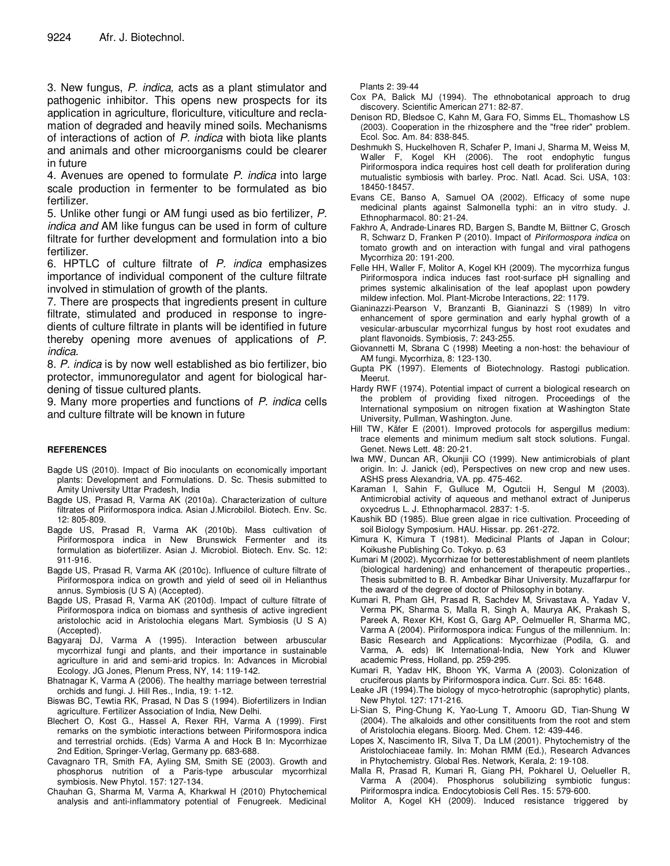3. New fungus, *P. indica,* acts as a plant stimulator and pathogenic inhibitor. This opens new prospects for its application in agriculture, floriculture, viticulture and reclamation of degraded and heavily mined soils. Mechanisms of interactions of action of *P. indica* with biota like plants and animals and other microorganisms could be clearer in future

4. Avenues are opened to formulate *P. indica* into large scale production in fermenter to be formulated as bio fertilizer.

5. Unlike other fungi or AM fungi used as bio fertilizer, *P. indica and* AM like fungus can be used in form of culture filtrate for further development and formulation into a bio fertilizer.

6. HPTLC of culture filtrate of *P. indica* emphasizes importance of individual component of the culture filtrate involved in stimulation of growth of the plants.

7. There are prospects that ingredients present in culture filtrate, stimulated and produced in response to ingredients of culture filtrate in plants will be identified in future thereby opening more avenues of applications of *P. indica*.

8. *P. indica* is by now well established as bio fertilizer, bio protector, immunoregulator and agent for biological hardening of tissue cultured plants.

9. Many more properties and functions of *P. indica* cells and culture filtrate will be known in future

#### **REFERENCES**

- Bagde US (2010). Impact of Bio inoculants on economically important plants: Development and Formulations. D. Sc. Thesis submitted to Amity University Uttar Pradesh, India
- Bagde US, Prasad R, Varma AK (2010a). Characterization of culture filtrates of Piriformospora indica. Asian J.Microbilol. Biotech. Env. Sc. 12: 805-809.
- Bagde US, Prasad R, Varma AK (2010b). Mass cultivation of Piriformospora indica in New Brunswick Fermenter and its formulation as biofertilizer. Asian J. Microbiol. Biotech. Env. Sc. 12: 911-916.
- Bagde US, Prasad R, Varma AK (2010c). Influence of culture filtrate of Piriformospora indica on growth and yield of seed oil in Helianthus annus. Symbiosis (U S A) (Accepted).
- Bagde US, Prasad R, Varma AK (2010d). Impact of culture filtrate of Piriformospora indica on biomass and synthesis of active ingredient aristolochic acid in Aristolochia elegans Mart. Symbiosis (U S A) (Accepted).
- Bagyaraj DJ, Varma A (1995). Interaction between arbuscular mycorrhizal fungi and plants, and their importance in sustainable agriculture in arid and semi-arid tropics. In: Advances in Microbial Ecology. JG Jones, Plenum Press, NY, 14: 119-142.
- Bhatnagar K, Varma A (2006). The healthy marriage between terrestrial orchids and fungi. J. Hill Res., India, 19: 1-12.
- Biswas BC, Tewtia RK, Prasad, N Das S (1994). Biofertilizers in Indian agriculture. Fertilizer Association of India, New Delhi.
- Blechert O, Kost G., Hassel A, Rexer RH, Varma A (1999). First remarks on the symbiotic interactions between Piriformospora indica and terrestrial orchids. (Eds) Varma A and Hock B In: Mycorrhizae 2nd Edition, Springer-Verlag, Germany pp. 683-688.
- Cavagnaro TR, Smith FA, Ayling SM, Smith SE (2003). Growth and phosphorus nutrition of a Paris-type arbuscular mycorrhizal symbiosis. New Phytol. 157: 127-134.
- Chauhan G, Sharma M, Varma A, Kharkwal H (2010) Phytochemical analysis and anti-inflammatory potential of Fenugreek. Medicinal

Plants 2: 39-44

- Cox PA, Balick MJ (1994). The ethnobotanical approach to drug discovery. Scientific American 271: 82-87.
- Denison RD, Bledsoe C, Kahn M, Gara FO, Simms EL, Thomashow LS (2003). Cooperation in the rhizosphere and the "free rider" problem. Ecol. Soc. Am. 84: 838-845.
- Deshmukh S, Huckelhoven R, Schafer P, Imani J, Sharma M, Weiss M, Waller F, Kogel KH (2006). The root endophytic fungus Piriformospora indica requires host cell death for proliferation during mutualistic symbiosis with barley. Proc. Natl. Acad. Sci. USA, 103: 18450-18457.
- Evans CE, Banso A, Samuel OA (2002). Efficacy of some nupe medicinal plants against Salmonella typhi: an in vitro study. J. Ethnopharmacol. 80: 21-24.
- Fakhro A, Andrade-Linares RD, Bargen S, Bandte M, Biittner C, Grosch R, Schwarz D, Franken P (2010). Impact of *Piriformospora indica* on tomato growth and on interaction with fungal and viral pathogens Mycorrhiza 20: 191-200.
- Felle HH, Waller F, Molitor A, Kogel KH (2009). The mycorrhiza fungus Piriformospora indica induces fast root-surface pH signalling and primes systemic alkalinisation of the leaf apoplast upon powdery mildew infection. Mol. Plant-Microbe Interactions, 22: 1179.
- Gianinazzi-Pearson V, Branzanti B, Gianinazzi S (1989) In vitro enhancement of spore germination and early hyphal growth of a vesicular-arbuscular mycorrhizal fungus by host root exudates and plant flavonoids. Symbiosis, 7: 243-255.
- Giovannetti M, Sbrana C (1998) Meeting a non-host: the behaviour of AM fungi. Mycorrhiza, 8: 123-130.
- Gupta PK (1997). Elements of Biotechnology. Rastogi publication. Meerut.
- Hardy RWF (1974). Potential impact of current a biological research on the problem of providing fixed nitrogen. Proceedings of the International symposium on nitrogen fixation at Washington State University, Pullman, Washington. June.
- Hill TW, Käfer E (2001). Improved protocols for aspergillus medium: trace elements and minimum medium salt stock solutions. Fungal. Genet. News Lett. 48: 20-21.
- Iwa MW, Duncan AR, Okunjii CO (1999). New antimicrobials of plant origin. In: J. Janick (ed), Perspectives on new crop and new uses. ASHS press Alexandria, VA. pp. 475-462.
- Karaman I, Sahin F, Gulluce M, Ogutcii H, Sengul M (2003). Antimicrobial activity of aqueous and methanol extract of Juniperus oxycedrus L. J. Ethnopharmacol. 2837: 1-5.
- Kaushik BD (1985). Blue green algae in rice cultivation. Proceeding of soil Biology Symposium. HAU. Hissar. pp. 261-272.
- Kimura K, Kimura T (1981). Medicinal Plants of Japan in Colour; Koikushe Publishing Co. Tokyo. p. 63
- Kumari M (2002). Mycorrhizae for betterestablishment of neem plantlets (biological hardening) and enhancement of therapeutic properties., Thesis submitted to B. R. Ambedkar Bihar University. Muzaffarpur for the award of the degree of doctor of Philosophy in botany.
- Kumari R, Pham GH, Prasad R, Sachdev M, Srivastava A, Yadav V, Verma PK, Sharma S, Malla R, Singh A, Maurya AK, Prakash S, Pareek A, Rexer KH, Kost G, Garg AP, Oelmueller R, Sharma MC, Varma A (2004). Piriformospora indica: Fungus of the millennium. In: Basic Research and Applications: Mycorrhizae (Podila, G. and Varma, A. eds) IK International-India, New York and Kluwer academic Press, Holland, pp. 259-295.
- Kumari R, Yadav HK, Bhoon YK, Varma A (2003). Colonization of cruciferous plants by Piriformospora indica. Curr. Sci. 85: 1648.
- Leake JR (1994).The biology of myco-hetrotrophic (saprophytic) plants, New Phytol. 127: 171-216.
- Li-Sian S, Ping-Chung K, Yao-Lung T, Amooru GD, Tian-Shung W (2004). The alkaloids and other consitituents from the root and stem of Aristolochia elegans. Bioorg. Med. Chem. 12: 439-446.
- Lopes X, Nascimento IR, Silva T, Da LM (2001). Phytochemistry of the Aristolochiaceae family. In: Mohan RMM (Ed.), Research Advances in Phytochemistry. Global Res. Network, Kerala, 2: 19-108.
- Malla R, Prasad R, Kumari R, Giang PH, Pokharel U, Oelueller R, Varma A (2004). Phosphorus solubilizing symbiotic fungus: Piriformospra indica. Endocytobiosis Cell Res. 15: 579-600.
- Molitor A, Kogel KH (2009). Induced resistance triggered by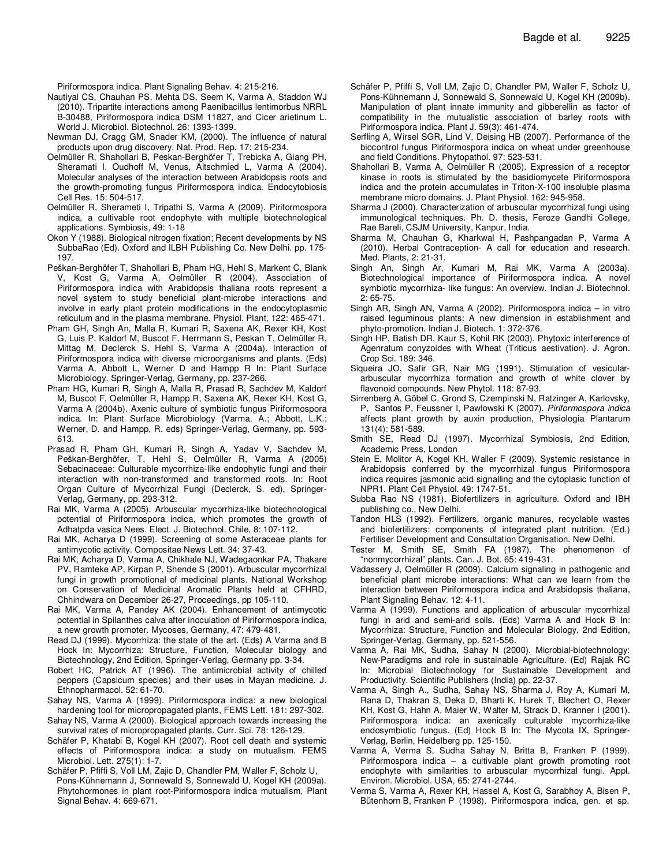Piriformospora indica. Plant Signaling Behav. 4: 215-216.

- Nautiyal CS, Chauhan PS, Mehta DS, Seem K, Varma A, Staddon WJ (2010). Tripartite interactions among Paenibacillus lentimorbus NRRL B-30488, Piriformospora indica DSM 11827, and Cicer arietinum L. World J. Microbiol. Biotechnol. 26: 1393-1399.
- Newman DJ, Cragg GM, Snader KM, (2000). The influence of natural products upon drug discovery. Nat. Prod. Rep. 17: 215-234.
- Oelmüller R, Shahollari B, Peskan-Berghöfer T, Trebicka A, Giang PH, Sheramati I, Oudhoff M, Venus, Altschmied L, Varma A (2004). Molecular analyses of the interaction between Arabidopsis roots and the growth-promoting fungus Piriformospora indica. Endocytobiosis Cell Res. 15: 504-517.
- Oelmüller R, Sherameti I, Tripathi S, Varma A (2009). Piriformospora indica, a cultivable root endophyte with multiple biotechnological applications. Symbiosis, 49: 1-18
- Okon Y (1988). Biological nitrogen fixation; Recent developments by NS SubbaRao (Ed). Oxford and ILBH Publishing Co. New Delhi. pp. 175- 197.
- Peškan-Berghöfer T, Shahollari B, Pham HG, Hehl S, Markent C, Blank V, Kost G, Varma A, Oelmüller R (2004). Association of Piriformospora indica with Arabidopsis thaliana roots represent a novel system to study beneficial plant-microbe interactions and involve in early plant protein modifications in the endocytoplasmic reticulum and in the plasma membrane. Physiol. Plant, 122: 465-471.
- Pham GH, Singh An, Malla R, Kumari R, Saxena AK, Rexer KH, Kost G, Luis P, Kaldorf M, Buscot F, Herrmann S, Peskan T, Oelmüller R, Mittag M, Declerck S, Hehl S, Varma A (2004a). Interaction of Piriformospora indica with diverse microorganisms and plants. (Eds) Varma A, Abbott L, Werner D and Hampp R In: Plant Surface Microbiology. Springer-Verlag, Germany, pp. 237-266.
- Pham HG, Kumari R, Singh A, Malla R, Prasad R, Sachdev M, Kaldorf M, Buscot F, Oelmüller R, Hampp R, Saxena AK, Rexer KH, Kost G, Varma A (2004b). Axenic culture of symbiotic fungus Piriformospora indica. In: Plant Surface Microbiology (Varma, A.; Abbott, L.K.; Werner, D. and Hampp, R. eds) Springer-Verlag, Germany, pp. 593- 613.
- Prasad R, Pham GH, Kumari R, Singh A, Yadav V, Sachdev M, Peškan-Berghöfer, T, Hehl S, Oelmüller R, Varma A (2005) Sebacinaceae: Culturable mycorrhiza-like endophytic fungi and their interaction with non-transformed and transformed roots. In: Root Organ Culture of Mycorrhizal Fungi (Declerck, S. ed), Springer-Verlag, Germany, pp. 293-312.
- Rai MK, Varma A (2005). Arbuscular mycorrhiza-like biotechnological potential of Piriformospora indica, which promotes the growth of Adhatpda vasica Nees. Elect. J. Biotechnol. Chile, 8: 107-112.
- Rai MK, Acharya D (1999). Screening of some Asteraceae plants for antimycotic activity. Compositae News Lett. 34: 37-43.
- Rai MK, Acharya D, Varma A, Chikhale NJ, Wadegaonkar PA, Thakare PV, Ramteke AP, Kirpan P, Shende S (2001). Arbuscular mycorrhizal fungi in growth promotional of medicinal plants. National Workshop on Conservation of Medicinal Aromatic Plants held at CFHRD, Chhindwara on December 26-27, Proceedings, pp 105-110.
- Rai MK, Varma A, Pandey AK (2004). Enhancement of antimycotic potential in Spilanthes calva after inoculation of Piriformospora indica, a new growth promoter. Mycoses, Germany, 47: 479-481.
- Read DJ (1999). Mycorrhiza: the state of the art. (Eds) A Varma and B Hock In: Mycorrhiza: Structure, Function, Molecular biology and Biotechnology, 2nd Edition, Springer-Verlag, Germany pp. 3-34.
- Robert HC, Patrick AT (1996). The antimicrobial activity of chilled peppers (Capsicum species) and their uses in Mayan medicine. J. Ethnopharmacol. 52: 61-70.
- Sahay NS, Varma A (1999). Piriformospora indica: a new biological hardening tool for micropropagated plants, FEMS Lett. 181: 297-302.
- Sahay NS, Varma A (2000). Biological approach towards increasing the survival rates of micropropagated plants. Curr. Sci. 78: 126-129.
- Schäfer P, Khatabi B, Kogel KH (2007). Root cell death and systemic effects of Piriformospora indica: a study on mutualism. FEMS Microbiol. Lett. 275(1): 1-7.
- Schäfer P, Pfiffi S, Voll LM, Zajic D, Chandler PM, Waller F, Scholz U, Pons-Kühnemann J, Sonnewald S, Sonnewald U, Kogel KH (2009a). Phytohormones in plant root-Piriformospora indica mutualism, Plant Signal Behav. 4: 669-671.
- Schäfer P, Pfiffi S, Voll LM, Zajic D, Chandler PM, Waller F, Scholz U, Pons-Kühnemann J, Sonnewald S, Sonnewald U, Kogel KH (2009b). Manipulation of plant innate immunity and gibberellin as factor of compatibility in the mutualistic association of barley roots with Piriformospora indica. Plant J. 59(3): 461-474.
- Serfling A, Wirsel SGR, Lind V, Deising HB (2007). Performance of the biocontrol fungus Piriformospora indica on wheat under greenhouse and field Conditions. Phytopathol. 97: 523-531.
- Shahollari B, Varma A, Oelmüller R (2005). Expression of a receptor kinase in roots is stimulated by the basidiomycete Piriformospora indica and the protein accumulates in Triton-X-100 insoluble plasma membrane micro domains. J. Plant Physiol. 162: 945-958.
- Sharma J (2000). Characterization of arbuscular mycorrhizal fungi using immunological techniques. Ph. D. thesis, Feroze Gandhi College, Rae Bareli, CSJM University, Kanpur, India.
- Sharma M, Chauhan G, Kharkwal H, Pashpangadan P, Varma A (2010). Herbal Contraception- A call for education and research. Med. Plants, 2: 21-31.
- Singh An, Singh Ar, Kumari M, Rai MK, Varma A (2003a). Biotechnological importance of Piriformospora indica. A novel symbiotic mycorrhiza- like fungus: An overview. Indian J. Biotechnol. 2: 65-75.
- Singh AR, Singh AN, Varma A (2002). Piriformospora indica in vitro raised leguminous plants: A new dimension in establishment and phyto-promotion. Indian J. Biotech. 1: 372-376.
- Singh HP, Batish DR, Kaur S, Kohil RK (2003). Phytoxic interference of Agenratum conyzoides with Wheat (Triticus aestivation). J. Agron. Crop Sci. 189: 346.
- Siqueira JO, Safir GR, Nair MG (1991). Stimulation of vesiculararbuscular mycorrhiza formation and growth of white clover by flavonoid compounds. New Phytol. 118: 87-93.
- Sirrenberg A, Göbel C, Grond S, Czempinski N, Ratzinger A, Karlovsky, P, Santos P, Feussner I, Pawlowski K (2007). *Piriformospora indica* affects plant growth by auxin production, Physiologia Plantarum 131(4): 581-589.
- Smith SE, Read DJ (1997). Mycorrhizal Symbiosis, 2nd Edition, Academic Press, London
- Stein E, Molitor A, Kogel KH, Waller F (2009). Systemic resistance in Arabidopsis conferred by the mycorrhizal fungus Piriformospora indica requires jasmonic acid signalling and the cytoplasic function of NPR1. Plant Cell Physiol. 49: 1747-51.
- Subba Rao NS (1981). Biofertilizers in agriculture. Oxford and IBH publishing co., New Delhi.
- Tandon HLS (1992). Fertilizers, organic manures, recyclable wastes and biofertilizers: components of integrated plant nutrition. (Ed.) Fertiliser Development and Consultation Organisation. New Delhi.
- Tester M, Smith SE, Smith FA (1987). The phenomenon of "nonmycorrhizal" plants. Can. J. Bot. 65: 419-431.
- Vadassery J, Oelmüller R (2009). Calcium signaling in pathogenic and beneficial plant microbe interactions: What can we learn from the interaction between Piriformospora indica and Arabidopsis thaliana, Plant Signaling Behav. 12: 4-11.
- Varma A (1999). Functions and application of arbuscular mycorrhizal fungi in arid and semi-arid soils. (Eds) Varma A and Hock B In: Mycorrhiza: Structure, Function and Molecular Biology, 2nd Edition, Springer-Verlag, Germany, pp. 521-556.
- Varma A, Rai MK, Sudha, Sahay N (2000). Microbial-biotechnology: New-Paradigms and role in sustainable Agriculture. (Ed) Rajak RC In: Microbial Biotechnology for Sustainable Development and Productivity. Scientific Publishers (India) pp. 22-37.
- Varma A, Singh A., Sudha, Sahay NS, Sharma J, Roy A, Kumari M, Rana D, Thakran S, Deka D, Bharti K, Hurek T, Blechert O, Rexer KH, Kost G, Hahn A, Maier W, Walter M, Strack D, Kranner I (2001). Piriformospora indica: an axenically culturable mycorrhiza-like endosymbiotic fungus. (Ed) Hock B In: The Mycota IX, Springer-Verlag, Berlin, Heidelberg pp. 125-150.
- Varma A, Verma S, Sudha Sahay N, Britta B, Franken P (1999). Piriformospora indica – a cultivable plant growth promoting root endophyte with similarities to arbuscular mycorrhizal fungi. Appl. Environ. Microbiol. USA, 65: 2741-2744.
- Verma S, Varma A, Rexer KH, Hassel A, Kost G, Sarabhoy A, Bisen P, Bütenhorn B, Franken P (1998). Piriformospora indica, gen. et sp.